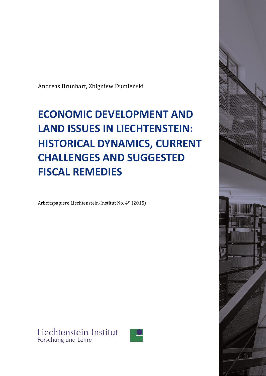Andreas Brunhart, Zbigniew Dumieński

# **ECONOMIC DEVELOPMENT AND LAND ISSUES IN LIECHTENSTEIN: HISTORICAL DYNAMICS, CURRENT CHALLENGES AND SUGGESTED FISCAL REMEDIES**

Arbeitspapiere Liechtenstein-Institut No. 49 (2015)



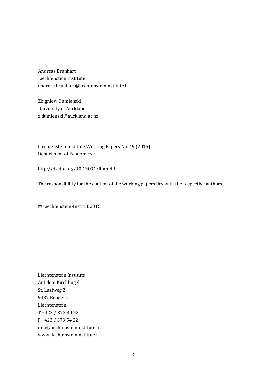Andreas Brunhart Liechtenstein Institute andreas.brunhart@liechtensteininstitute.li

Zbigniew Dumieński University of Auckland z.dumienski@auckland.ac.nz

Liechtenstein Institute Working Papers No. 49 (2015) Department of Economics

http://dx.doi.org/10.13091/li-ap-49

The responsibility for the content of the working papers lies with the respective authors.

© Liechtenstein-Institut 2015

Liechtenstein Institute Auf dem Kirchhügel St. Luziweg 2 9487 Bendern Liechtenstein T +423 / 373 30 22 F +423 / 373 54 22 info@liechtensteininstitute.li www.liechtensteininstitute.li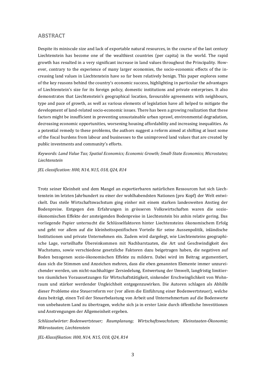#### **ABSTRACT**

Despite its miniscule size and lack of exportable natural resources, in the course of the last century Liechtenstein has become one of the wealthiest countries (per capita) in the world. The rapid growth has resulted in a very significant increase in land values throughout the Principality. However, contrary to the experience of many larger economies, the socio-economic effects of the increasing land values in Liechtenstein have so far been relatively benign. This paper explores some of the key reasons behind the country's economic success, highlighting in particular the advantages of Liechtenstein's size for its foreign policy, domestic institutions and private enterprises. It also demonstrates that Liechtenstein's geographical location, favourable agreements with neighbours, type and pace of growth, as well as various elements of legislation have all helped to mitigate the development of land-related socio-economic issues. There has been a growing realization that these factors might be insufficient in preventing unsustainable urban sprawl, environmental degradation, decreasing economic opportunities, worsening housing affordability and increasing inequalities. As a potential remedy to these problems, the authors suggest a reform aimed at shifting at least some of the fiscal burdens from labour and businesses to the unimproved land values that are created by public investments and community's efforts.

*Keywords: Land Value Tax; Spatial Economics; Economic Growth; Small-State Economics; Microstates; Liechtenstein*

*JEL classification: H00, N14, N15, O18, Q24, R14*

Trotz seiner Kleinheit und dem Mangel an exportierbaren natürlichen Ressourcen hat sich Liechtenstein im letzten Jahrhundert zu einer der wohlhabendsten Nationen (pro Kopf) der Welt entwickelt. Das steile Wirtschaftswachstum ging einher mit einem starken landesweiten Anstieg der Bodenpreise. Entgegen den Erfahrungen in grösseren Volkswirtschaften waren die sozioökonomischen Effekte der ansteigenden Bodenpreise in Liechtenstein bis anhin relativ gering. Das vorliegende Papier untersucht die Schlüsselfaktoren hinter Liechtensteins ökonomischem Erfolg und geht vor allem auf die kleinheitsspezifischen Vorteile für seine Aussenpolitik, inländische Institutionen und private Unternehmen ein. Zudem wird dargelegt, wie Liechtensteins geographische Lage, vorteilhafte Übereinkommen mit Nachbarstaaten, die Art und Geschwindigkeit des Wachstums, sowie verschiedene gesetzliche Faktoren dazu beigetragen haben, die negativen auf Boden bezogenen sozio-ökonomischen Effekte zu mildern. Dabei wird im Beitrag argumentiert, dass sich die Stimmen und Anzeichen mehren, dass die eben genannten Elemente immer unzureichender werden, um nicht-nachhaltiger Zersiedelung, Entwertung der Umwelt, langfristig limitierten räumlichen Voraussetzungen für Wirtschaftstätigkeit, sinkender Erschwinglichkeit von Wohnraum und stärker werdender Ungleichheit entgegenzuwirken. Die Autoren schlagen als Abhilfe dieser Probleme eine Steuerreform vor (vor allem die Einführung einer Bodenwertsteuer), welche dazu beiträgt, einen Teil der Steuerbelastung von Arbeit und Unternehmertum auf die Bodenwerte von unbebautem Land zu übertragen, welche sich ja in erster Linie durch öffentliche Investitionen und Anstrengungen der Allgemeinheit ergeben.

*Schlüsselwörter: Bodenwertsteuer; Raumplanung; Wirtschaftswachstum; Kleinstaaten-Ökonomie; Mikrostaaten; Liechtenstein*

*JEL-Klassifikation: H00, N14, N15, O18, Q24, R14*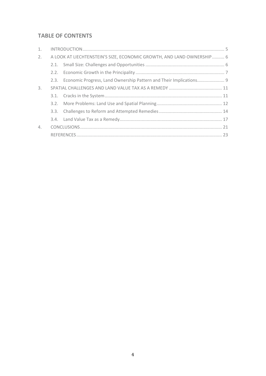# **TABLE OF CONTENTS**

| 1. |                                                                       |  |  |
|----|-----------------------------------------------------------------------|--|--|
| 2. | A LOOK AT LIECHTENSTEIN'S SIZE, ECONOMIC GROWTH, AND LAND OWNERSHIP 6 |  |  |
|    |                                                                       |  |  |
|    |                                                                       |  |  |
|    |                                                                       |  |  |
| 3. |                                                                       |  |  |
|    |                                                                       |  |  |
|    |                                                                       |  |  |
|    |                                                                       |  |  |
|    |                                                                       |  |  |
| 4. |                                                                       |  |  |
|    |                                                                       |  |  |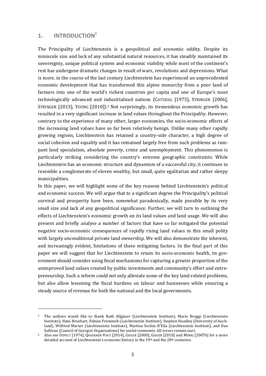# <span id="page-4-0"></span>**1. INTRODUCTION 1**

<u>.</u>

The Principality of Liechtenstein is a geopolitical and economic oddity. Despite its miniscule size and lack of any substantial natural resources, it has steadily maintained its sovereignty, unique political system and economic viability while most of the continent's rest has undergone dramatic changes in result of wars, revolutions and depressions. What is more, in the course of the last century Liechtenstein has experienced an unprecedented economic development that has transformed this alpine monarchy from a poor land of farmers into one of the world's richest countries per capita and one of Europe's most technologically advanced and industrialized nations (CATUDAL [1975], STRINGER [2006], STRINGER [2013], YOUNG [2010]). <sup>2</sup> Not surprisingly, its tremendous economic growth has resulted in a very significant increase in land values throughout the Principality. However, contrary to the experience of many other, larger economies, the socio-economic effects of the increasing land values have so far been relatively benign. Unlike many other rapidly growing regions, Liechtenstein has retained a country-side character, a high degree of social cohesion and equality and it has remained largely free from such problems as rampant land speculation, absolute poverty, crime and unemployment. This phenomenon is particularly striking considering the country's extreme geographic constraints. While Liechtenstein has an economic structure and dynamism of a successful city, it continues to resemble a conglomerate of eleven wealthy, but small, quite egalitarian and rather sleepy municipalities.

In this paper, we will highlight some of the key reasons behind Liechtenstein's political and economic success. We will argue that to a significant degree the Principality's political survival and prosperity have been, somewhat paradoxically, made possible by its very small size and lack of any geopolitical significance. Further, we will turn to outlining the effects of Liechtenstein's economic growth on its land values and land usage. We will also present and briefly analyse a number of factors that have so far mitigated the potential negative socio-economic consequences of rapidly rising land values in this small polity with largely unconditional private land ownership. We will also demonstrate the inherent, and increasingly evident, limitations of these mitigating factors. In the final part of this paper we will suggest that for Liechtenstein to retain its socio-economic health, its government should consider using fiscal mechanisms for capturing a greater proportion of the unimproved land values created by public investments and community's effort and entrepreneurship. Such a reform could not only alleviate some of the key land-related problems, but also allow lessening the fiscal burdens on labour and businesses while ensuring a steady source of revenue for both the national and the local governments.

<sup>1</sup> The authors would like to thank Ruth Allgäuer (Liechtenstein Institute), Mario Broggi (Liechtenstein Institute), Hans Brunhart, Fabian Frommelt (Liechtenstein Institute), Stephen Hoadley (University of Auckland), Wilfried Marxer (Liechtenstein Institute), Martina Sochin-D'Elia (Liechtenstein Institute), and Dan Sullivan (Council of Georgist Organizations) for useful comments. All errors remain ours.

<sup>2</sup> Also see OSPELT [1974], QUADERER-VOGT [2014], GEIGER [2000], GEIGER [2010] and MERKI [2007b] for a more detailed account of Liechtenstein's economic history in the 19th and the 20th centuries.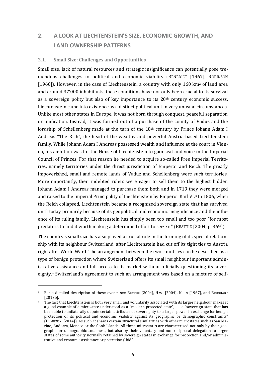# <span id="page-5-0"></span>**2. A LOOK AT LIECHTENSTEIN'S SIZE, ECONOMIC GROWTH, AND LAND OWNERSHIP PATTERNS**

#### <span id="page-5-1"></span>**2.1. Small Size: Challenges and Opportunities**

Small size, lack of natural resources and strategic insignificance can potentially pose tremendous challenges to political and economic viability (BENEDICT [1967], ROBINSON [1960]). However, in the case of Liechtenstein, a country with only 160 km<sup>2</sup> of land area and around 37'000 inhabitants, these conditions have not only been crucial to its survival as a sovereign polity but also of key importance to its  $20<sup>th</sup>$  century economic success. Liechtenstein came into existence as a distinct political unit in very unusual circumstances. Unlike most other states in Europe, it was not born through conquest, peaceful separation or unification. Instead, it was formed out of a purchase of the county of Vaduz and the lordship of Schellenberg made at the turn of the 18th century by Prince Johann Adam I Andreas "The Rich", the head of the wealthy and powerful Austria-based Liechtenstein family. While Johann Adam I Andreas possessed wealth and influence at the court in Vienna, his ambition was for the House of Liechtenstein to gain seat and voice in the Imperial Council of Princes. For that reason he needed to acquire so-called Free Imperial Territories, namely territories under the direct jurisdiction of Emperor and Reich. The greatly impoverished, small and remote lands of Vaduz and Schellenberg were such territories. More importantly, their indebted rulers were eager to sell them to the highest bidder. Johann Adam I Andreas managed to purchase them both and in 1719 they were merged and raised to the Imperial Principality of Liechtenstein by Emperor Karl VI. <sup>3</sup> In 1806, when the Reich collapsed, Liechtenstein became a recognized sovereign state that has survived until today primarily because of its geopolitical and economic insignificance and the influence of its ruling family. Liechtenstein has simply been too small and too poor "for most predators to find it worth making a determined effort to seize it" (BEATTIE [2004, p. 369]).

The country's small size has also played a crucial role in the forming of its special relationship with its neighbour Switzerland, after Liechtenstein had cut off its tight ties to Austria right after World War I. The arrangement between the two countries can be described as a type of benign protection where Switzerland offers its small neighbour important administrative assistance and full access to its market without officially questioning its sovereignty. <sup>4</sup> Switzerland's agreement to such an arrangement was based on a mixture of self-

<sup>3</sup> For a detailed description of these events see BEATTIE [2004], HASS [2004], KOHN [1967], and BRUNHART [2013b].

<sup>4</sup> The fact that Liechtenstein is both very small and voluntarily associated with its larger neighbour makes it a good example of a microstate understood as a "modern protected state", i.e. a "sovereign state that has been able to unilaterally depute certain attributes of sovereignty to a larger power in exchange for benign protection of its political and economic viability against its geographic or demographic constraints" (DUMIENSKI [2014]). As such, it shares certain structural similarities with other microstates such as San Marino, Andorra, Monaco or the Cook Islands. All these microstates are characterized not only by their geographic or demographic smallness, but also by their voluntary and non-reciprocal delegation to larger states of some authority normally retained by sovereign states in exchange for protection and/or administrative and economic assistance or protection (ibid.).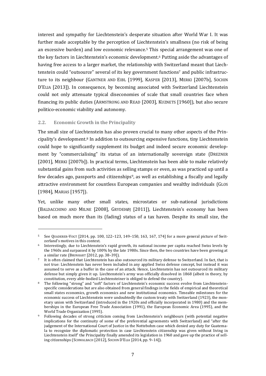interest and sympathy for Liechtenstein's desperate situation after World War I. It was further made acceptable by the perception of Liechtenstein's smallness (no risk of being an excessive burden) and low economic relevance.<sup>5</sup> This special arrangement was one of the key factors in Liechtenstein's economic development.<sup>6</sup> Putting aside the advantages of having free access to a larger market, the relationship with Switzerland meant that Liechtenstein could "outsource" several of its key government functions<sup>7</sup> and public infrastructure to its neighbour (GANTNER AND EIBL [1999], KASPER [2013], MERKI [2007b], SOCHIN D'ELIA [2013]). In consequence, by becoming associated with Switzerland Liechtenstein could not only attenuate typical diseconomies of scale that small countries face when financing its public duties (ARMSTRONG AND READ [2003], KUZNETS [1960]), but also secure politico-economic viability and autonomy.

## <span id="page-6-0"></span>**2.2. Economic Growth in the Principality**

-

The small size of Liechtenstein has also proven crucial to many other aspects of the Principality's development.<sup>8</sup> In addition to outsourcing expensive functions, tiny Liechtenstein could hope to significantly supplement its budget and indeed secure economic development by "commercialising" its status of an internationally sovereign state (DREZNER [2001], MERKI [2007b]). In practical terms, Liechtenstein has been able to make relatively substantial gains from such activities as selling stamps or even, as was practiced up until a few decades ago, passports and citizenships<sup>9</sup>, as well as establishing a fiscally and legally attractive environment for countless European companies and wealthy individuals (GLOS [1984], MARIAS [1957]).

Yet, unlike many other small states, microstates or sub-national jurisdictions (BALDACCHINO AND MILNE [2008], GRYDEHØJ [2011]), Liechtenstein's economy has been based on much more than its (fading) status of a tax haven. Despite its small size, the

<sup>5</sup> See QUADERER-VOGT [2014, pp. 100, 122–123, 149–150, 163, 167, 174] for a more general picture of Switzerland's motives in this context.

<sup>6</sup> Interestingly, due to Liechtenstein's rapid growth, its national income per capita reached Swiss levels by the 1960s and surpassed it by 100% by the late 1980s. Since then, the two countries have been growing at a similar rate (BRUNHART [2012, pp. 38–39]).

<sup>7</sup> It is often claimed that Liechtenstein has also outsourced its military defense to Switzerland. In fact, that is not true: Liechtenstein has never been included in any applied Swiss defense concept, but instead it was assumed to serve as a buffer in the case of an attack. Hence, Liechtenstein has not outsourced its military defense but simply given it up. Liechtenstein's army was officially dissolved in 1868 (albeit in theory, by constitution, every able-bodied Liechtensteiner is obliged to defend the country).

<sup>8</sup> The following "strong" and "soft" factors of Liechtenstein's economic success evolve from Liechtensteinspecific considerations but are also obtained from general findings in the fields of empirical and theoretical small states economics, growth economics and new institutional economics. Timeable milestones for the economic success of Liechtenstein were undoubtedly the custom treaty with Switzerland (1923), the monetary union with Switzerland (introduced in the 1920s and officially incorporated in 1980) and the memberships in the European Free Trade Association (1991), the European Economic Area (1995), and the World Trade Organization (1995).

<sup>9</sup> Following decades of strong criticism coming from Liechtenstein's neighbours (with potential negative implications for the continuity of some of the preferential agreements with Switzerland) and "after the judgement of the International Court of Justice in the Nottebohm case which denied any duty for Guatemala to recognize the diplomatic protection in case Liechtenstein citizenship was given without living in Liechtenstein itself" the Principality finally amended its legislation in 1960 and gave up the practice of selling citizenships (SCHWALBACH [2012], SOCHIN D'ELIA [2014, pp. 9–14]).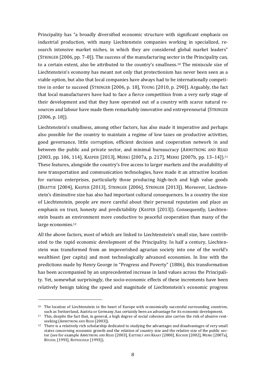Principality has "a broadly diversified economic structure with significant emphasis on industrial production, with many Liechtenstein companies working in specialized, research intensive market niches, in which they are considered global market leaders" (STRINGER [2006, pp. 7–8]). The success of the manufacturing sector in the Principality can, to a certain extent, also be attributed to the country's smallness.<sup>10</sup> The miniscule size of Liechtenstein's economy has meant not only that protectionism has never been seen as a viable option, but also that local companies have always had to be internationally competitive in order to succeed (STRINGER [2006, p. 18], YOUNG [2010, p. 290]). Arguably, the fact that local manufacturers have had to face a fierce competition from a very early stage of their development and that they have operated out of a country with scarce natural resources and labour have made them remarkably innovative and entrepreneurial (STRINGER [2006, p. 18]).

Liechtenstein's smallness, among other factors, has also made it imperative and perhaps also possible for the country to maintain a regime of low taxes on productive activities, good governance, little corruption, efficient decision and cooperation network in and between the public and private sector, and minimal bureaucracy (ARMSTRONG AND READ [2003, pp. 106, 114], KASPER [2013], MERKI [2007a, p. 217], MERKI [2007b, pp. 13-14]).<sup>11</sup> These features, alongside the country's free access to larger markets and the availability of new transportation and communication technologies, have made it an attractive location for various enterprises, particularly those producing high-tech and high value goods (BEATTIE [2004], KASPER [2013], STRINGER [2006], STRINGER [2013]). Moreover, Liechtenstein's diminutive size has also had important cultural consequences. In a country the size of Liechtenstein, people are more careful about their personal reputation and place an emphasis on trust, honesty and predictability (KASPER [2013]). Consequently, Liechtenstein boasts an environment more conductive to peaceful cooperation than many of the large economies.<sup>12</sup>

All the above factors, most of which are linked to Liechtenstein's small size, have contributed to the rapid economic development of the Principality. In half a century, Liechtenstein was transformed from an impoverished agrarian society into one of the world's wealthiest (per capita) and most technologically advanced economies. In line with the predictions made by Henry George in "Progress and Poverty" (1886), this transformation has been accompanied by an unprecedented increase in land values across the Principality. Yet, somewhat surprisingly, the socio-economic effects of these increments have been relatively benign taking the speed and magnitude of Liechtenstein's economic progress

 $10$  The location of Liechtenstein in the heart of Europe with economically successful surrounding countries, such as Switzerland, Austria or Germany, has certainly been an advantage for its economic development.

<sup>11</sup> This, despite the fact that, in general, a high degree of social cohesion also carries the risk of abusive rentseeking (ARMSTRONG AND READ [2003]).

<sup>12</sup> There is a relatively rich scholarship dedicated to studying the advantages and disadvantages of very small states concerning economic growth and the relation of country size and the relative size of the public sector (see for example ARMSTRONG AND READ [2003], EASTERLY AND KRAAY [2000], KOCHER [2002], MERKI [2007a], BÜCHEL [1993], ROTHSCHILD [1993]).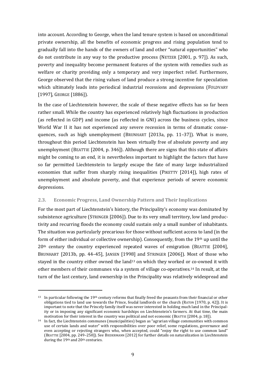into account. According to George, when the land tenure system is based on unconditional private ownership, all the benefits of economic progress and rising population tend to gradually fall into the hands of the owners of land and other "natural opportunities" who do not contribute in any way to the productive process (NETZER [2001, p. 97]). As such, poverty and inequality become permanent features of the system with remedies such as welfare or charity providing only a temporary and very imperfect relief. Furthermore, George observed that the rising values of land produce a strong incentive for speculation which ultimately leads into periodical industrial recessions and depressions (FOLDVARY [1997], GEORGE [1886]).

In the case of Liechtenstein however, the scale of these negative effects has so far been rather small. While the country has experienced relatively high fluctuations in production (as reflected in GDP) and income (as reflected in GNI) across the business cycles, since World War II it has not experienced any severe recession in terms of dramatic consequences, such as high unemployment (BRUNHART [2013a, pp. 11–37]). What is more, throughout this period Liechtenstein has been virtually free of absolute poverty and any unemployment (BEATTIE [2004, p. 346]). Although there are signs that this state of affairs might be coming to an end, it is nevertheless important to highlight the factors that have so far permitted Liechtenstein to largely escape the fate of many large industrialized economies that suffer from sharply rising inequalities (PIKETTY [2014]), high rates of unemployment and absolute poverty, and that experience periods of severe economic depressions.

# <span id="page-8-0"></span>**2.3. Economic Progress, Land Ownership Pattern and Their Implications**

For the most part of Liechtenstein's history, the Principality's economy was dominated by subsistence agriculture (STRINGER [2006]). Due to its very small territory, low land productivity and recurring floods the economy could sustain only a small number of inhabitants. The situation was particularly precarious for those without sufficient access to land (in the form of either individual or collective ownership). Consequently, from the 19<sup>th</sup> up until the 20th century the country experienced repeated waves of emigration (BEATTIE [2004], BRUNHART [2013b, pp. 44–45], JANSEN [1998] and STRINGER [2006]). Most of those who stayed in the country either owned the land<sup>13</sup> on which they worked or co-owned it with other members of their communes via a system of village co-operatives.<sup>14</sup> In result, at the turn of the last century, land ownership in the Principality was relatively widespread and

 $13$  In particular following the 19<sup>th</sup> century reforms that finally freed the peasants from their financial or other obligations tied to land use towards the Prince, feudal landlords or the church (RATON [1970, p. 42]). It is important to note that the Princely family itself was never interested in holding much land in the Principality or in imposing any significant economic hardships on Liechtenstein's farmers. At that time, the main motivation for their interest in the country was political and not economic (BEATTIE [2004, p. 18]).

<sup>14</sup> In fact, the Liechtenstein communes (municipalities) began as "agrarian village communities with common use of certain lands and water" with responsibilities over poor relief, some regulations, governance and even accepting or rejecting strangers who, when accepted, could "enjoy the right to use common land" (BEATTIE [2004, pp. 249–250]). See BIEDERMANN [2012] for further details on naturalization in Liechtenstein during the 19<sup>th</sup> and 20<sup>th</sup> centuries.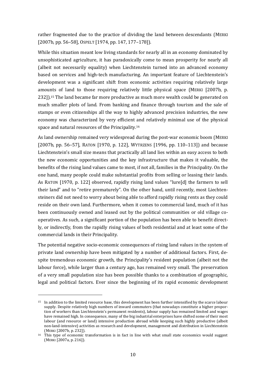rather fragmented due to the practice of dividing the land between descendants (MERKI [2007b, pp. 56–58], OSPELT [1974, pp. 147, 177–178]).

While this situation meant low living standards for nearly all in an economy dominated by unsophisticated agriculture, it has paradoxically come to mean prosperity for nearly all (albeit not necessarily equality) when Liechtenstein turned into an advanced economy based on services and high-tech manufacturing. An important feature of Liechtenstein's development was a significant shift from economic activities requiring relatively large amounts of land to those requiring relatively little physical space (MERKI [2007b, p. 232]). <sup>15</sup> The land became far more productive as much more wealth could be generated on much smaller plots of land. From banking and finance through tourism and the sale of stamps or even citizenships all the way to highly advanced precision industries, the new economy was characterized by very efficient and relatively minimal use of the physical space and natural resources of the Principality.<sup>16</sup>

As land ownership remained very widespread during the post-war economic boom (MERKI [2007b, pp. 56–57], RATON [1970, p. 122], WYTRZENS [1996, pp. 110–113]) and because Liechtenstein's small size means that practically all land lies within an easy access to both the new economic opportunities and the key infrastructure that makes it valuable, the benefits of the rising land values came to most, if not all, families in the Principality. On the one hand, many people could make substantial profits from selling or leasing their lands. As RATON [1970, p. 122] observed, rapidly rising land values "lure[d] the farmers to sell their land" and to "retire prematurely". On the other hand, until recently, most Liechtensteiners did not need to worry about being able to afford rapidly rising rents as they could reside on their own land. Furthermore, when it comes to commercial land, much of it has been continuously owned and leased out by the political communities or old village cooperatives. As such, a significant portion of the population has been able to benefit directly, or indirectly, from the rapidly rising values of both residential and at least some of the commercial lands in their Principality.

The potential negative socio-economic consequences of rising land values in the system of private land ownership have been mitigated by a number of additional factors. First, despite tremendous economic growth, the Principality's resident population (albeit not the labour force), while larger than a century ago, has remained very small. The preservation of a very small population size has been possible thanks to a combination of geographic, legal and political factors. Ever since the beginning of its rapid economic development

<sup>15</sup> In addition to the limited resource base, this development has been further intensified by the scarce labour supply. Despite relatively high numbers of inward commuters (that nowadays constitute a higher proportion of workers than Liechtenstein's permanent residents), labour supply has remained limited and wages have remained high. In consequence, many of the big industrial enterprises have shifted some of their most labour (and resource or land) intensive production abroad while keeping such highly productive (albeit non-land-intensive) activities as research and development, management and distribution in Liechtenstein (MERKI [2007b, p. 232]).

 $16$  This type of economic transformation is in fact in line with what small state economics would suggest (MERKI [2007a, p. 216]).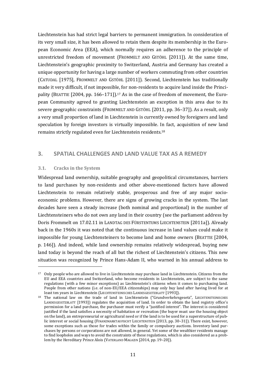Liechtenstein has had strict legal barriers to permanent immigration. In consideration of its very small size, it has been allowed to retain them despite its membership in the European Economic Area (EEA), which normally requires an adherence to the principle of unrestricted freedom of movement (FROMMELT AND GSTÖHL [2011]). At the same time, Liechtenstein's geographic proximity to Switzerland, Austria and Germany has created a unique opportunity for having a large number of workers commuting from other countries (CATUDAL [1975], FROMMELT AND GSTÖHL [2011]). Second, Liechtenstein has traditionally made it very difficult, if not impossible, for non-residents to acquire land inside the Principality (BEATTIE [2004, pp. 166-171]).<sup>17</sup> As in the case of freedom of movement, the European Community agreed to granting Liechtenstein an exception in this area due to its severe geographic constraints (FROMMELT AND GSTÖHL [2011, pp. 36–37]). As a result, only a very small proportion of land in Liechtenstein is currently owned by foreigners and land speculation by foreign investors is virtually impossible. In fact, acquisition of new land remains strictly regulated even for Liechtenstein residents.<sup>18</sup>

# <span id="page-10-0"></span>**3. SPATIAL CHALLENGES AND LAND VALUE TAX AS A REMEDY**

### <span id="page-10-1"></span>**3.1. Cracks in the System**

-

Widespread land ownership, suitable geography and geopolitical circumstances, barriers to land purchases by non-residents and other above-mentioned factors have allowed Liechtenstein to remain relatively stable, prosperous and free of any major socioeconomic problems. However, there are signs of growing cracks in the system. The last decades have seen a steady increase (both nominal and proportional) in the number of Liechtensteiners who do not own any land in their country (see the parliament address by Doris Frommelt on 17.02.11 in LANDTAG DES FÜRSTENTUMS LIECHTENSTEIN [2011a]). Already back in the 1960s it was noted that the continuous increase in land values could make it impossible for young Liechtensteiners to become land and home owners (BEATTIE [2004, p. 146]). And indeed, while land ownership remains relatively widespread, buying new land today is beyond the reach of all but the richest of Liechtenstein's citizens. This new situation was recognized by Prince Hans-Adam II, who warned in his annual address to

<sup>17</sup> Only people who are allowed to live in Liechtenstein may purchase land in Liechtenstein. Citizens from the EU and EEA countries and Switzerland, who become residents in Liechtenstein, are subject to the same regulations (with a few minor exceptions) as Liechtenstein's citizens when it comes to purchasing land. People from other nations (i.e. of non-EU/EEA citizenships) may only buy land after having lived for at least ten years in Liechtenstein (LIECHTENSTEINISCHES LANDESGESETZBLATT [1993]).

<sup>&</sup>lt;sup>18</sup> The national law on the trade of land in Liechtenstein ("Grundverkehrsgesetz", LIECHTENSTEINISCHES LANDESGESETZBLATT [1993]) regulates the acquisition of land. In order to obtain the land registry office's permission for a land purchase, the purchaser must verify a "justified interest". The interest is considered justified if the land satisfies a necessity of habitation or recreation (the buyer must use the housing object on the land), an entrepreneurial or agricultural need or if the land is to be used for a superstructure of public interest or social housing (FINANZMARKTAUFSICHT LIECHTENSTEIN [2013, pp. 30–31]). There exist, however, some exceptions such as those for trades within the family or compulsory auctions. Inventory land purchases by persons or corporations are not allowed, in general. Yet some of the wealthier residents manage to find loopholes and ways to avoid the constraints of these regulations, which is also considered as a problem by the Hereditary Prince Alois (VATERLAND MAGAZIN [2014, pp. 19–201).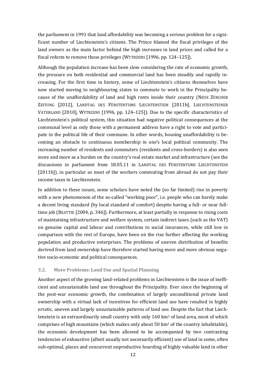the parliament in 1991 that land affordability was becoming a serious problem for a significant number of Liechtenstein's citizens. The Prince blamed the fiscal privileges of the land owners as the main factor behind the high increases in land prices and called for a fiscal reform to remove those privileges (WYTRZENS [1996, pp. 124–125]).

Although the population increase has been slow considering the rate of economic growth, the pressure on both residential and commercial land has been steadily and rapidly increasing. For the first time in history, some of Liechtenstein's citizens themselves have now started moving to neighbouring states to commute to work in the Principality because of the unaffordability of land and high rents inside their country (NEUE ZÜRCHER ZEITUNG [2012], LANDTAG DES FÜRSTENTUMS LIECHTENSTEIN [2011b], LIECHTENSTEINER VATERLAND [2010], WYTRZENS [1996, pp. 124–125]). Due to the specific characteristics of Liechtenstein's political system, this situation had negative political consequences at the communal level as only those with a permanent address have a right to vote and participate in the political life of their commune. In other words, housing unaffordability is becoming an obstacle to continuous membership in one's local political community. The increasing number of residents and commuters (residents and cross-borders) is also seen more and more as a burden on the country's real estate market and infrastructure (see the discussions in parliament from 18.05.11 in LANDTAG DES FÜRSTENTUMS LIECHTENSTEIN [2011b]), in particular as most of the workers commuting from abroad do not pay their income taxes in Liechtenstein.

In addition to these issues, some scholars have noted the (so far limited) rise in poverty with a new phenomenon of the so-called "working poor", i.e. people who can barely make a decent living standard (by local standard of comfort) despite having a full- or near fulltime job (BEATTIE [2004, p. 346]). Furthermore, at least partially in response to rising costs of maintaining infrastructure and welfare system, certain indirect taxes (such as the VAT) on genuine capital and labour and contributions to social insurances, while still low in comparison with the rest of Europe, have been on the rise further affecting the working population and productive enterprises. The problems of uneven distribution of benefits derived from land ownership have therefore started having more and more obvious negative socio-economic and political consequences.

### <span id="page-11-0"></span>**3.2. More Problems: Land Use and Spatial Planning**

Another aspect of the growing land-related problems in Liechtenstein is the issue of inefficient and unsustainable land use throughout the Principality. Ever since the beginning of the post-war economic growth, the combination of largely unconditional private land ownership with a virtual lack of incentives for efficient land use have resulted in highly erratic, uneven and largely unsustainable patterns of land use. Despite the fact that Liechtenstein is an extraordinarily small country with only 160 km<sup>2</sup> of land area, most of which comprises of high mountains (which makes only about 50 km<sup>2</sup> of the country inhabitable), the economic development has been allowed to be accompanied by two contrasting tendencies of exhaustive (albeit usually not necessarily efficient) use of land in some, often sub-optimal, places and concurrent unproductive hoarding of highly valuable land in other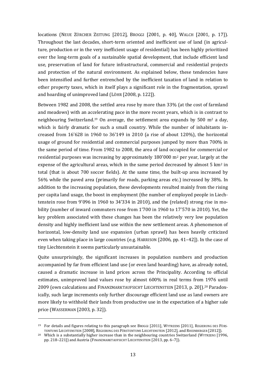locations (NEUE ZÜRCHER ZEITUNG [2012], BROGGI [2001, p. 40], WALCH [2001, p. 17]). Throughout the last decades, short-term oriented and inefficient use of land (in agriculture, production or in the very inefficient usage of residential) has been highly prioritized over the long-term goals of a sustainable spatial development, that include efficient land use, preservation of land for future infrastructural, commercial and residential projects and protection of the natural environment. As explained below, these tendencies have been intensified and further entrenched by the inefficient taxation of land in relation to other property taxes, which in itself plays a significant role in the fragmentation, sprawl and hoarding of unimproved land (LÖHR [2008, p. 122]).

Between 1982 and 2008, the settled area rose by more than 33% (at the cost of farmland and meadows) with an accelerating pace in the more recent years, which is in contrast to neighbouring Switzerland.<sup>19</sup> On average, the settlement area expands by 500 m<sup>2</sup> a day, which is fairly dramatic for such a small country. While the number of inhabitants increased from 16'628 in 1960 to 36'149 in 2010 (a rise of about 120%), the horizontal usage of ground for residential and commercial purposes jumped by more than 700% in the same period of time. From 1982 to 2008, the area of land occupied for commercial or residential purposes was increasing by approximately  $180'000$  m<sup>2</sup> per year, largely at the expense of the agricultural areas, which in the same period decreased by almost  $5 \text{ km}^2$  in total (that is about 700 soccer fields). At the same time, the built-up area increased by 56% while the paved area (primarily for roads, parking areas etc.) increased by 38%. In addition to the increasing population, these developments resulted mainly from the rising per capita land usage, the boost in employment (the number of employed people in Liechtenstein rose from 9'096 in 1960 to 34'334 in 2010), and the (related) strong rise in mobility (number of inward commuters rose from 1'700 in 1960 to 17'570 in 2010). Yet, the key problem associated with these changes has been the relatively very low population density and highly inefficient land use within the new settlement areas. A phenomenon of horizontal, low-density land use expansion (urban sprawl) has been heavily criticized even when taking place in large countries (e.g. HARRISON [2006, pp. 41–42]). In the case of tiny Liechtenstein it seems particularly unsustainable.

Quite unsurprisingly, the significant increases in population numbers and production accompanied by far from efficient land use (or even land hoarding) have, as already noted, caused a dramatic increase in land prices across the Principality. According to official estimates, unimproved land values rose by almost 600% in real terms from 1976 until 2009 (own calculations and FINANZMARKTAUFSICHT LIECHTENSTEIN [2013, p. 20]). <sup>20</sup> Paradoxically, such large increments only further discourage efficient land use as land owners are more likely to withhold their lands from productive use in the expectation of a higher sale price (WASSERMAN [2003, p. 32]).

<sup>19</sup> For details and figures relating to this paragraph see BROGGI [2011], WYTRZENS [2011], REGIERUNG DES FÜRS-TENTUMS LIECHTENSTEIN [2008], REGIERUNG DES FÜRSTENTUMS LIECHTENSTEIN [2012], and RHEINBERGER [2012]).

<sup>&</sup>lt;sup>20</sup> Which is a substantially higher increase than in the neighbouring countries Switzerland (WYTRZENS [1996, pp. 218–221]) and Austria (FINANZMARKTAUFSICHT LIECHTENSTEIN [2013, pp. 6–7]).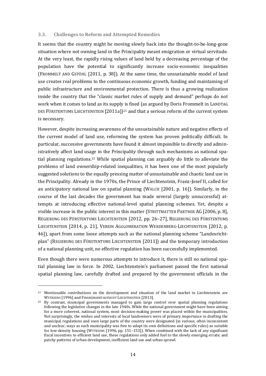#### <span id="page-13-0"></span>**3.3. Challenges to Reform and Attempted Remedies**

It seems that the country might be moving slowly back into the thought-to-be-long-gone situation where not owning land in the Principality meant emigration or virtual servitude. At the very least, the rapidly rising values of land held by a decreasing percentage of the population have the potential to significantly increase socio-economic inequalities (FROMMELT AND GSTÖHL [2011, p. 38]). At the same time, the unsustainable model of land use creates real problems to the continuous economic growth, funding and maintaining of public infrastructure and environmental protection. There is thus a growing realization inside the country that the "classic market rules of supply and demand" perhaps do not work when it comes to land as its supply is fixed (as argued by Doris Frommelt in LANDTAG DES FÜRSTENTUMS LIECHTENSTEIN [2011a]) <sup>21</sup> and that a serious reform of the current system is necessary.

However, despite increasing awareness of the unsustainable nature and negative effects of the current model of land use, reforming the system has proven politically difficult. In particular, successive governments have found it almost impossible to directly and administratively affect land usage in the Principality through such mechanisms as national spatial planning regulations. <sup>22</sup> While spatial planning can arguably do little to alleviate the problems of land ownership-related inequalities, it has been one of the most popularly suggested solutions to the equally pressing matter of unsustainable and chaotic land use in the Principality. Already in the 1970s, the Prince of Liechtenstein, Franz-Josef II, called for an anticipatory national law on spatial planning (WALCH [2001, p. 16]). Similarly, in the course of the last decades the government has made several (largely unsuccessful) attempts at introducing effective national-level spatial planning schemes. Yet, despite a visible increase in the public interest in this matter (STRITTMATTER PARTNER AG [2006, p. 8], REGIERUNG DES FÜRSTENTUMS LIECHTENSTEIN [2012, pp. 26–27], REGIERUNG DES FÜRSTENTUMS LIECHTENSTEIN [2014, p. 21], VEREIN AGGLOMERATION WERDENBERG-LIECHTENSTEIN [2012, p. 46]), apart from some loose attempts such as the national planning scheme "Landesrichtplan" (REGIERUNG DES FÜRSTENTUMS LIECHTENSTEIN [2011]) and the temporary introduction of a national planning unit, no effective regulation has been successfully implemented.

Even though there were numerous attempts to introduce it, there is still no national spatial planning law in force. In 2002, Liechtenstein's parliament passed the first national spatial planning law, carefully drafted and prepared by the government officials in the

<sup>&</sup>lt;sup>21</sup> Mentionable contributions on the development and situation of the land market in Liechtenstein are WYTRZENS [1996] and FINANZMARKTAUFSICHT LIECHTENSTEIN [2013].

<sup>22</sup> By contrast, municipal governments managed to gain large control over spatial planning regulations following the legislative changes in the late 1940s. While the national government might have been aiming for a more coherent, national system, most decision-making power was placed within the municipalities. Not surprisingly, the wishes and interests of local landowners were of primary importance in drafting the municipal regulations and soon large parts of the country were designated (in various, often inconsistent and unclear, ways as each municipality was free to adopt its own definitions and specific rules) as suitable for low-density housing (WYTRZENS [1996, pp. 151–153]). When combined with the lack of any significant fiscal incentives to efficient land use, these regulations only added fuel to the slowly emerging erratic and patchy patterns of urban development, inefficient land use and urban sprawl.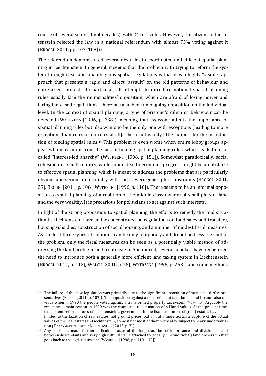course of several years (if not decades), with 24 to 1 votes. However, the citizens of Liechtenstein rejected the law in a national referendum with almost 75% voting against it (BROGGI [2011, pp. 107–108]). 23

The referendum demonstrated several obstacles to coordinated and efficient spatial planning in Liechtenstein. In general, it seems that the problem with trying to reform the system through clear and unambiguous spatial regulations is that it is a highly "visible" approach that presents a rapid and direct "assault" on the old patterns of behaviour and entrenched interests. In particular, all attempts to introduce national spatial planning rules usually face the municipalities' opposition, which are afraid of losing power and facing increased regulations. There has also been an ongoing opposition on the individual level: In the context of spatial planning, a type of prisoner's dilemma behaviour can be detected (WYTRZENS [1996, p. 238]), meaning that everyone admits the importance of spatial planning rules but also wants to be the only one with exceptions (leading to more exceptions than rules or no rules at all). The result is only little support for the introduction of binding spatial rules.<sup>24</sup> This problem is even worse when entire lobby groups appear who may profit from the lack of binding spatial planning rules, which leads to a socalled "interest-led anarchy" (WYTRZENS [1996, p. 151]). Somewhat paradoxically, social cohesion in a small country, while conductive to economic progress, might be an obstacle to effective spatial planning, which is meant to address the problems that are particularly obvious and serious in a country with such severe geographic constraints (BROGGI [2001, 39], BROGGI [2011, p. 106], WYTRZENS [1996, p. 110]). There seems to be an informal opposition to spatial planning of a coalition of the middle-class owners of small plots of land and the very wealthy. It is precarious for politicians to act against such interests.

In light of the strong opposition to spatial planning, the efforts to remedy the land situation in Liechtenstein have so far concentrated on regulations on land sales and transfers, housing subsidies, construction of social housing, and a number of modest fiscal measures. As the first three types of solutions can be only temporary and do not address the root of the problem, only the fiscal measures can be seen as a potentially viable method of addressing the land problems in Liechtenstein. And indeed, several scholars have recognized the need to introduce both a generally more efficient land taxing system in Liechtenstein (BROGGI [2011, p. 112], WALCH [2001, p. 25], WYTRZENS [1996, p. 253]) and some methods

<sup>&</sup>lt;sup>23</sup> The failure of the new legislation was primarily due to the significant opposition of municipalities' representatives (BROGGI [2011, p. 107]). The opposition against a more efficient taxation of land became also obvious when in 1990 the people voted against a transformed property tax system (76% no). Arguably the resistance's main reason in 1990 was the connected re-estimation of all land values. At the present time, the current reform efforts of Liechtenstein's government in the fiscal treatment of (real) estates have been limited to the taxation of real estates, not ground prices, but aim at a more accurate capture of the actual values of the real estates in Liechtenstein; some if not most of them were also subject to heavy undervaluation (FINANZMARKTAUFSICHT LIECHTENSTEIN [2013, p. 7]).

 $24$  Any reform is made further difficult because of the long tradition of inheritance and division of land between descendants and very high cultural value attached to (ideally, unconditional) land ownership that goes back to the agricultural era (WYTRZENS [1996, pp. 110–112]).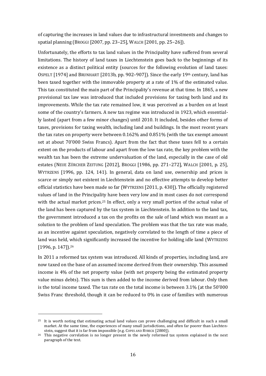of capturing the increases in land values due to infrastructural investments and changes to spatial planning (BROGGI [2007, pp. 23–25], WALCH [2001, pp. 25–26]).

Unfortunately, the efforts to tax land values in the Principality have suffered from several limitations. The history of land taxes in Liechtenstein goes back to the beginnings of its existence as a distinct political entity (sources for the following evolution of land taxes: OSPELT [1974] and BRUNHART [2013b, pp. 902–907]). Since the early 19th century, land has been taxed together with the immovable property at a rate of 1% of the estimated value. This tax constituted the main part of the Principality's revenue at that time. In 1865, a new provisional tax law was introduced that included provisions for taxing both land and its improvements. While the tax rate remained low, it was perceived as a burden on at least some of the country's farmers. A new tax regime was introduced in 1923, which essentially lasted (apart from a few minor changes) until 2010. It included, besides other forms of taxes, provisions for taxing wealth, including land and buildings. In the most recent years the tax rates on property were between 0.162% and 0.851% (with the tax exempt amount set at about 70'000 Swiss Francs). Apart from the fact that these taxes fell to a certain extent on the products of labour and apart from the low tax rate, the key problem with the wealth tax has been the extreme undervaluation of the land, especially in the case of old estates (NEUE ZÜRCHER ZEITUNG [2012], BROGGI [1986, pp. 271–272], WALCH [2001, p. 25], WYTRZENS [1996, pp. 124, 141). In general, data on land use, ownership and prices is scarce or simply not existent in Liechtenstein and no effective attempts to develop better official statistics have been made so far (WYTRZENS [2011, p. 430]). The officially registered values of land in the Principality have been very low and in most cases do not correspond with the actual market prices.<sup>25</sup> In effect, only a very small portion of the actual value of the land has been captured by the tax system in Liechtenstein. In addition to the land tax, the government introduced a tax on the profits on the sale of land which was meant as a solution to the problem of land speculation. The problem was that the tax rate was made, as an incentive against speculation, negatively correlated to the length of time a piece of land was held, which significantly increased the incentive for holding idle land (WYTRZENS [1996, p. 147]).<sup>26</sup>

In 2011 a reformed tax system was introduced. All kinds of properties, including land, are now taxed on the base of an assumed income derived from their ownership. This assumed income is 4% of the net property value (with net property being the estimated property value minus debts). This sum is then added to the income derived from labour. Only then is the total income taxed. The tax rate on the total income is between 3.1% (at the 50'000 Swiss Franc threshold, though it can be reduced to 0% in case of families with numerous

<sup>25</sup> It is worth noting that estimating actual land values can prove challenging and difficult in such a small market. At the same time, the experiences of many small jurisdictions, and often far poorer than Liechtenstein, suggest that it is far from impossible (e.g. COPES AND RYBECK [2000]).

<sup>&</sup>lt;sup>26</sup> This negative correlation is no longer present in the newly reformed tax system explained in the next paragraph of the text.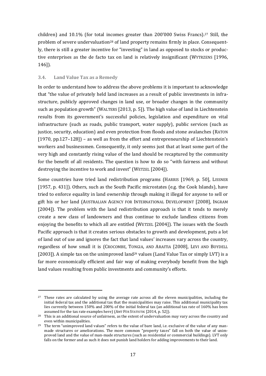children) and 10.1% (for total incomes greater than 200'000 Swiss Francs).<sup>27</sup> Still, the problem of severe undervaluation<sup>28</sup> of land property remains firmly in place. Consequently, there is still a greater incentive for "investing" in land as opposed to stocks or productive enterprises as the de facto tax on land is relatively insignificant (WYTRZENS [1996, 146]).

## <span id="page-16-0"></span>**3.4. Land Value Tax as a Remedy**

-

In order to understand how to address the above problems it is important to acknowledge that "the value of privately held land increases as a result of public investments in infrastructure, publicly approved changes in land use, or broader changes in the community such as population growth" (WALTERS [2013, p. 5]). The high value of land in Liechtenstein results from its government's successful policies, legislation and expenditure on vital infrastructure (such as roads, public transport, water supply), public services (such as justice, security, education) and even protection from floods and stone avalanches (RATON [1970, pp.127–128]) – as well as from the effort and entrepreneurship of Liechtenstein's workers and businessmen. Consequently, it only seems just that at least some part of the very high and constantly rising value of the land should be recaptured by the community for the benefit of all residents. The question is how to do so "with fairness and without destroying the incentive to work and invest" (WETZEL [2004]).

Some countries have tried land redistribution programs (HARRIS [1969, p. 50], LISSNER [1957, p. 431]). Others, such as the South Pacific microstates (e.g. the Cook Islands), have tried to enforce equality in land ownership through making it illegal for anyone to sell or gift his or her land (AUSTRALIAN AGENCY FOR INTERNATIONAL DEVELOPMENT [2008], INGRAM [2004]). The problem with the land redistribution approach is that it tends to merely create a new class of landowners and thus continue to exclude landless citizens from enjoying the benefits to which all are entitled (WETZEL [2004]). The issues with the South Pacific approach is that it creates serious obstacles to growth and development, puts a lot of land out of use and ignores the fact that land values' increases vary across the country, regardless of how small it is (CROCOMBE, TONGIA, AND ARAITIA [2008], LEVI AND BOYDELL [2003]). A simple tax on the unimproved land<sup>29</sup> values (Land Value Tax or simply LVT) is a far more economically efficient and fair way of making everybody benefit from the high land values resulting from public investments and community's efforts.

<sup>&</sup>lt;sup>27</sup> These rates are calculated by using the average rate across all the eleven municipalities, including the initial federal tax and the additional tax that the municipalities may raise. This additional municipality tax lies currently between 150% and 200% of the initial federal tax (an additional tax rate of 160% has been assumed for the tax rate examples here) (AMT FÜR STATISTIK [2014, p. 52]).

<sup>&</sup>lt;sup>28</sup> This is an additional source of unfairness, as the extent of undervaluation may vary across the country and even within municipalities.

<sup>&</sup>lt;sup>29</sup> The term "unimproved land values" refers to the value of bare land, i.e. exclusive of the value of any manmade structures or ameliorations. The more common "property taxes" fall on both the value of unimproved land and the value of man-made structures (such as residential or commercial buildings). LVT only falls on the former and as such it does not punish land holders for adding improvements to their land.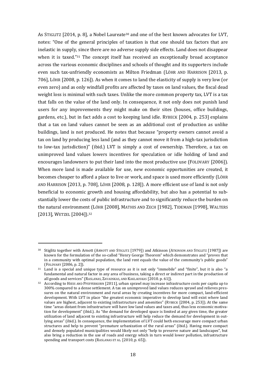As STIGLITZ [2014, p. 8], a Nobel Laureate<sup>30</sup> and one of the best known advocates for LVT, notes: "One of the general principles of taxation is that one should tax factors that are inelastic in supply, since there are no adverse supply side effects. Land does not disappear when it is taxed."<sup>31</sup> The concept itself has received an exceptionally broad acceptance across the various economic disciplines and schools of thought and its supporters include even such tax-unfriendly economists as Milton Friedman (LÖHR AND HARRISON [2013, p. 706], LÖHR [2008, p. 126]). As when it comes to land the elasticity of supply is very low (or even zero) and as only windfall profits are affected by taxes on land values, the fiscal dead weight loss is minimal with such taxes. Unlike the more common property tax, LVT is a tax that falls on the value of the land only. In consequence, it not only does not punish land users for any improvements they might make on their sites (houses, office buildings, gardens, etc.), but in fact adds a cost to keeping land idle. RYBECK [2004, p. 253] explains that a tax on land values cannot be seen as an additional cost of production as unlike buildings, land is not produced. He notes that because "property owners cannot avoid a tax on land by producing less land (and as they cannot move it from a high-tax jurisdiction to low-tax jurisdiction)" (ibid.) LVT is simply a cost of ownership. Therefore, a tax on unimproved land values lowers incentives for speculation or idle holding of land and encourages landowners to put their land into the most productive use (FOLDVARY [2006]). When more land is made available for use, new economic opportunities are created, it becomes cheaper to afford a place to live or work, and space is used more efficiently (LÖHR AND HARRISON [2013, p. 708], LÖHR [2008, p. 128]). A more efficient use of land is not only beneficial to economic growth and housing affordability, but also has a potential to substantially lower the costs of public infrastructure and to significantly reduce the burden on the natural environment (LÖHR [2008], MATHIS AND ZECH [1982], TIDEMAN [1998], WALTERS [2013], WETZEL [2004]).<sup>32</sup>

<sup>30</sup> Stiglitz together with Arnott (ARNOTT AND STIGLITZ [1979]) and Atkinson (ATKINSON AND STIGLITZ [1987]) are known for the formulation of the so-called "Henry George Theorem" which demonstrates and "proves that in a community with optimal population, the land rent equals the value of the community's public goods" (FOLDVARY [2006, p. 2]).

<sup>31</sup> Land is a special and unique type of resource as it is not only "immobile" and "finite", but it is also "a fundamental and natural factor in any area of business, taking a direct or indirect part in the production of all goods and services" (RASLANAS, ZAVADSKAS, AND KAKLAUSKAS [2010. p. 61]).

<sup>32</sup> According to HIESS AND PFEFFERKORN [2011], urban sprawl may increase infrastructure costs per capita up to 300% compared to a dense settlement. A tax on unimproved land values reduces sprawl and relieves pressures on the natural environment and rural areas by creating incentives for more compact, land-efficient development. With LVT in place "the greatest economic imperative to develop land will exist where land values are highest, adjacent to existing infrastructure and amenities" (RYBECK [2004, p. 253]). At the same time "areas distant from infrastructure will have low land values and taxes and, thus less economic motivation for development" (ibid.). As "the demand for developed space is limited at any given time, the greater utilization of land adjacent to existing infrastructure will help reduce the demand for development in outlying areas" (ibid.). In consequence, the implementation of LVT could both encourage more compact urban structures and help to prevent "premature urbanization of the rural areas" (ibid.). Having more compact and densely populated municipalities would likely not only "help to preserve nature and landscapes", but also bring a reduction in the use of roads and energy which in turn would lower pollution, infrastructure spending and transport costs (RASLANAS ET AL. [2010, p. 65]).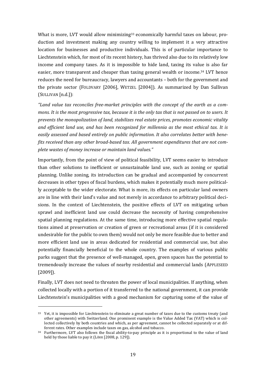What is more, LVT would allow minimizing<sup>33</sup> economically harmful taxes on labour, production and investment making any country willing to implement it a very attractive location for businesses and productive individuals. This is of particular importance to Liechtenstein which, for most of its recent history, has thrived also due to its relatively low income and company taxes. As it is impossible to hide land, taxing its value is also far easier, more transparent and cheaper than taxing general wealth or income. <sup>34</sup> LVT hence reduces the need for bureaucracy, lawyers and accountants – both for the government and the private sector (FOLDVARY [2006], WETZEL [2004]). As summarized by Dan Sullivan (SULLIVAN [n.d.]):

*"Land value tax reconciles free-market principles with the concept of the earth as a commons. It is the most progressive tax, because it is the only tax that is not passed on to users. It prevents the monopolization of land, stabilizes real estate prices, promotes economic vitality and efficient land use, and has been recognized for millennia as the most ethical tax. It is easily assessed and based entirely on public information. It also correlates better with benefits received than any other broad-based tax. All government expenditures that are not complete wastes of money increase or maintain land values."*

Importantly, from the point of view of political feasibility, LVT seems easier to introduce than other solutions to inefficient or unsustainable land use, such as zoning or spatial planning. Unlike zoning, its introduction can be gradual and accompanied by concurrent decreases in other types of fiscal burdens, which makes it potentially much more politically acceptable to the wider electorate. What is more, its effects on particular land owners are in line with their land's value and not merely in accordance to arbitrary political decisions. In the context of Liechtenstein, the positive effects of LVT on mitigating urban sprawl and inefficient land use could decrease the necessity of having comprehensive spatial planning regulations. At the same time, introducing more effective spatial regulations aimed at preservation or creation of green or recreational areas (if it is considered undesirable for the public to own them) would not only be more feasible due to better and more efficient land use in areas dedicated for residential and commercial use, but also potentially financially beneficial to the whole country. The examples of various public parks suggest that the presence of well-managed, open, green spaces has the potential to tremendously increase the values of nearby residential and commercial lands (APPLESEED [2009]).

Finally, LVT does not need to threaten the power of local municipalities. If anything, when collected locally with a portion of it transferred to the national government, it can provide Liechtenstein's municipalities with a good mechanism for capturing some of the value of

<sup>33</sup> Yet, it is impossible for Liechtenstein to eliminate a great number of taxes due to the customs treaty (and other agreements) with Switzerland. One prominent example is the Value Added Tax (VAT) which is collected collectively by both countries and which, as per agreement, cannot be collected separately or at different rates. Other examples include taxes on gas, alcohol and tobacco.

<sup>34</sup> Furthermore, LVT also follows the fiscal ability-to-pay principle as it is proportional to the value of land held by those liable to pay it (LÖHR [2008, p. 129]).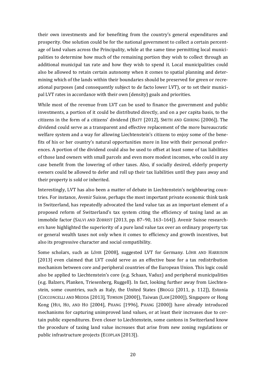their own investments and for benefiting from the country's general expenditures and prosperity. One solution could be for the national government to collect a certain percentage of land values across the Principality, while at the same time permitting local municipalities to determine how much of the remaining portion they wish to collect through an additional municipal tax rate and how they wish to spend it. Local municipalities could also be allowed to retain certain autonomy when it comes to spatial planning and determining which of the lands within their boundaries should be preserved for green or recreational purposes (and consequently subject to de facto lower LVT), or to set their municipal LVT rates in accordance with their own (density) goals and priorities.

While most of the revenue from LVT can be used to finance the government and public investments, a portion of it could be distributed directly, and on a per capita basis, to the citizens in the form of a citizens' dividend (BATT [2012], SMITH AND GIHRING [2006]). The dividend could serve as a transparent and effective replacement of the more bureaucratic welfare system and a way for allowing Liechtenstein's citizens to enjoy some of the benefits of his or her country's natural opportunities more in line with their personal preferences. A portion of the dividend could also be used to offset at least some of tax liabilities of those land owners with small parcels and even more modest incomes, who could in any case benefit from the lowering of other taxes. Also, if socially desired, elderly property owners could be allowed to defer and roll up their tax liabilities until they pass away and their property is sold or inherited.

Interestingly, LVT has also been a matter of debate in Liechtenstein's neighbouring countries. For instance, Avenir Suisse, perhaps the most important private economic think tank in Switzerland, has repeatedly advocated the land value tax as an important element of a proposed reform of Switzerland's tax system citing the efficiency of taxing land as an immobile factor (SALVI AND ZOBRIST [2013, pp. 87–90, 163–164]). Avenir Suisse researchers have highlighted the superiority of a pure land value tax over an ordinary property tax or general wealth taxes not only when it comes to efficiency and growth incentives, but also its progressive character and social compatibility.

Some scholars, such as LÖHR [2008], suggested LVT for Germany. LÖHR AND HARRISON [2013] even claimed that LVT could serve as an effective base for a tax redistribution mechanism between core and peripheral countries of the European Union. This logic could also be applied to Liechtenstein's core (e.g. Schaan, Vaduz) and peripheral municipalities (e.g. Balzers, Planken, Triesenberg, Ruggell). In fact, looking further away from Liechtenstein, some countries, such as Italy, the United States (BROGGI [2011, p. 112]), Estonia (COCCONCELLI AND MEDDA [2013], TOMSON [2000]), Taiwan (LAM [2000]), Singapore or Hong Kong (HUI, HO, AND HO [2004], PHANG [1996], PHANG [2000]) have already introduced mechanisms for capturing unimproved land values, or at least their increases due to certain public expenditures. Even closer to Liechtenstein, some cantons in Switzerland know the procedure of taxing land value increases that arise from new zoning regulations or public infrastructure projects (ECOPLAN [2013]).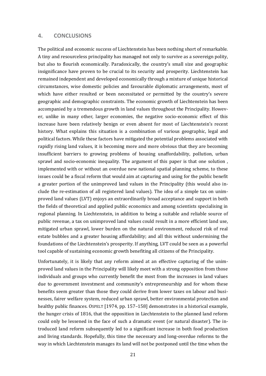#### <span id="page-20-0"></span>**4. CONCLUSIONS**

The political and economic success of Liechtenstein has been nothing short of remarkable. A tiny and resourceless principality has managed not only to survive as a sovereign polity, but also to flourish economically. Paradoxically, the country's small size and geographic insignificance have proven to be crucial to its security and prosperity. Liechtenstein has remained independent and developed economically through a mixture of unique historical circumstances, wise domestic policies and favourable diplomatic arrangements, most of which have either resulted or been necessitated or permitted by the country's severe geographic and demographic constraints. The economic growth of Liechtenstein has been accompanied by a tremendous growth in land values throughout the Principality. However, unlike in many other, larger economies, the negative socio-economic effect of this increase have been relatively benign or even absent for most of Liechtenstein's recent history. What explains this situation is a combination of various geographic, legal and political factors. While these factors have mitigated the potential problems associated with rapidly rising land values, it is becoming more and more obvious that they are becoming insufficient barriers to growing problems of housing unaffordability, pollution, urban sprawl and socio-economic inequality. The argument of this paper is that one solution , implemented with or without an overdue new national spatial planning scheme, to these issues could be a fiscal reform that would aim at capturing and using for the public benefit a greater portion of the unimproved land values in the Principality (this would also include the re-estimation of all registered land values). The idea of a simple tax on unimproved land values (LVT) enjoys an extraordinarily broad acceptance and support in both the fields of theoretical and applied public economics and among scientists specialising in regional planning. In Liechtenstein, in addition to being a suitable and reliable source of public revenue, a tax on unimproved land values could result in a more efficient land use, mitigated urban sprawl, lower burden on the natural environment, reduced risk of real estate bubbles and a greater housing affordability; and all this without undermining the foundations of the Liechtenstein's prosperity. If anything, LVT could be seen as a powerful tool capable of sustaining economic growth benefiting all citizens of the Principality.

Unfortunately, it is likely that any reform aimed at an effective capturing of the unimproved land values in the Principality will likely meet with a strong opposition from those individuals and groups who currently benefit the most from the increases in land values due to government investment and community's entrepreneurship and for whom these benefits seem greater than those they could derive from lower taxes on labour and businesses, fairer welfare system, reduced urban sprawl, better environmental protection and healthy public finances. OSPELT [1974, pp. 157-158] demonstrates in a historical example, the hunger crisis of 1816, that the opposition in Liechtenstein to the planned land reform could only be lessened in the face of such a dramatic event (or natural disaster). The introduced land reform subsequently led to a significant increase in both food production and living standards. Hopefully, this time the necessary and long-overdue reforms to the way in which Liechtenstein manages its land will not be postponed until the time when the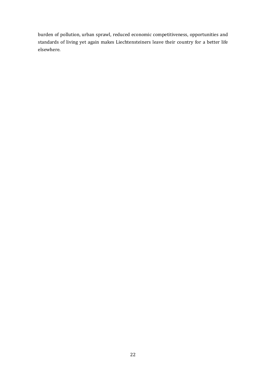burden of pollution, urban sprawl, reduced economic competitiveness, opportunities and standards of living yet again makes Liechtensteiners leave their country for a better life elsewhere.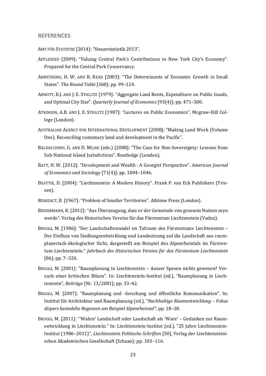#### <span id="page-22-0"></span>**REFERENCES**

AMT FÜR STATISTIK [2014]: "Steuerstatistik 2013".

- APPLESEED [2009]: "Valuing Central Park's Contributions to New York City's Economy". Prepared for the Central Park Conservancy.
- ARMSTRONG, H. W. AND R. READ [2003]: "The Determinants of Economic Growth in Small States". *The Round Table* [368]; pp. 99–124.
- ARNOTT, R.J. AND J. E. STIGLITZ [1979]: "Aggregate Land Rents, Expenditure on Public Goods, and Optimal City Size". *Quarterly Journal of Economics* [93(4)]; pp. 471–500.
- ATKINSON, A.B. AND J. E. STIGLITZ [1987]: "Lectures on Public Economics". Mcgraw-Hill College (London).
- AUSTRALIAN AGENCY FOR INTERNATIONAL DEVELOPMENT [2008]: "Making Land Work (Volume One). Reconciling customary land and development in the Pacific".
- BALDACCHINO, G. AND D. MILNE (eds.) [2008]: "The Case for Non-Sovereignty: Lessons from Sub-National Island Jurisdictions". Routledge (London).
- BATT, H. W. [2012]: "Development and Wealth : A Georgist Perspective". *American Journal of Economics and Sociology* [71(4)]; pp. 1004–1046.
- BEATTIE, D. [2004]: "Liechtenstein: A Modern History". Frank P. van Eck Publishers (Triesen).
- BENEDICT, B. [1967]: "Problem of Smaller Territories". Athlone Press (London).
- BIEDERMANN, K. [2012]: "Aus Überzeugung, dass er der Gemeinde von grossem Nutzen seyn werde". Verlag des Historischen Vereins für das Fürstentum Liechtenstein (Vaduz).
- BROGGI, M. [1986]: "Der Landschaftswandel im Talraum des Fürstentums Liechtenstein Der Einfluss von Siedlungsentwicklung und Landnutzung auf die Landschaft aus raumplanerisch-ökologischer Sicht, dargestellt am Beispiel des Alpenrheintals im Fürstentum Liechtenstein." *Jahrbuch des Historischen Vereins für das Fürstentum Liechtenstein* [86]; pp. 7–326.
- BROGGI, M. [2001]: "Raumplanung in Liechtenstein Ausser Spesen nichts gewesen? Versuch einer kritischen Bilanz". In: Liechtenstein-Institut (ed.), "Raumplanung in Liechtenstein", *Beiträge* [Nr. 13/2001]; pp. 33–42.
- BROGGI, M. [2007]: "Raumplanung und -forschung und öffentliche Kommunikation". In: Institut für Architektur und Raumplanung (ed.), "*Nachhaltige Raumentwicklung – Fokus dispers besiedelte Regionen am Beispiel Alpenrheintal"*; pp. 18–28.
- BROGGI, M. [2011]: "'Wahre' Landschaft oder Landschaft als 'Ware' Gedanken zur Raumentwicklung in Liechtenstein." In: Liechtenstein-Institut (ed.), "25 Jahre Liechtenstein-Institut (1986–2011)", *Liechtenstein Politische Schriften* [50], Verlag der Liechtensteinischen Akademischen Gesellschaft (Schaan); pp. 103–116.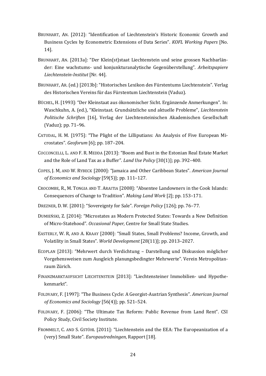- BRUNHART, AN. [2012]: "Identification of Liechtenstein's Historic Economic Growth and Business Cycles by Econometric Extensions of Data Series". *KOFL Working Papers* [No. 14].
- BRUNHART, AN. [2013a]: "Der Klein(st)staat Liechtenstein und seine grossen Nachbarländer: Eine wachstums- und konjunkturanalytische Gegenüberstellung". *Arbeitspapiere Liechtenstein-Institut* [Nr. 44].
- BRUNHART, AR. (ed.) [2013b]: "Historisches Lexikon des Fürstentums Liechtenstein". Verlag des Historischen Vereins für das Fürstentum Liechtenstein (Vaduz).
- BÜCHEL, H. [1993]: "Der Kleinstaat aus ökonomischer Sicht. Ergänzende Anmerkungen". In: Waschkuhn, A. (ed.), "Kleinstaat. Grundsätzliche und aktuelle Probleme", *Liechtenstein Politische Schriften* [16], Verlag der Liechtensteinischen Akademischen Gesellschaft (Vaduz); pp. 71–96.
- CATUDAL, H. M. [1975]: "The Plight of the Lilliputians: An Analysis of Five European Microstates". *Geoforum* [6]; pp. 187–204.
- COCCONCELLI, L. AND F. R. MEDDA [2013]: "Boom and Bust in the Estonian Real Estate Market and the Role of Land Tax as a Buffer". *Land Use Policy* [30(1)]; pp. 392–400.
- COPES, J. M, AND W. RYBECK [2000]: "Jamaica and Other Caribbean States". *American Journal of Economics and Sociology* [59(5)]; pp. 111–127.
- CROCOMBE, R., M. TONGIA AND T. ARAITIA [2008]: "Absentee Landowners in the Cook Islands: Consequences of Change to Tradition". *Making Land Work* [2]; pp. 153–171.
- DREZNER, D. W. [2001]: "Sovereignty for Sale". *Foreign Policy* [126]; pp. 76–77.
- DUMIEŃSKI, Z. [2014]: "Microstates as Modern Protected States: Towards a New Definition of Micro-Statehood". *Occasional Paper*, Centre for Small State Studies.
- EASTERLY, W. R, AND A. KRAAY [2000]: "Small States, Small Problems? Income, Growth, and Volatility in Small States". *World Development* [28(11)]; pp. 2013–2027.
- ECOPLAN [2013]: "Mehrwert durch Verdichtung Darstellung und Diskussion möglicher Vorgehensweisen zum Ausgleich planungsbedingter Mehrwerte". Verein Metropolitanraum Zürich.
- FINANZMARKTAUFSICHT LIECHTENSTEIN [2013]: "Liechtensteiner Immobilien- und Hypothekenmarkt".
- FOLDVARY, F. [1997]: "The Business Cycle: A Georgist-Austrian Synthesis". *American Journal of Economics and Sociology* [56(4)]; pp. 521–524.
- FOLDVARY, F. [2006]: "The Ultimate Tax Reform: Public Revenue from Land Rent". CSI Policy Study, Civil Society Institute.
- FROMMELT, C. AND S. GSTÖHL [2011]: "Liechtenstein and the EEA: The Europeanization of a (very) Small State". *Europautredningen*, Rapport [18].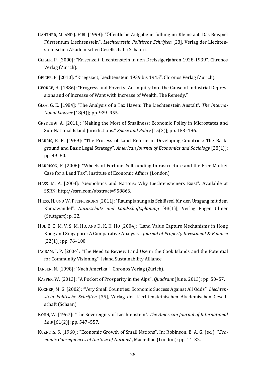- GANTNER, M. AND J. EIBL [1999]: "Öffentliche Aufgabenerfüllung im Kleinstaat. Das Beispiel Fürstentum Liechtenstein". *Liechtenstein Politische Schriften* [28], Verlag der Liechtensteinischen Akademischen Gesellschaft (Schaan).
- GEIGER, P. [2000]: "Krisenzeit, Liechtenstein in den Dreissigerjahren 1928-1939". Chronos Verlag (Zürich).
- GEIGER, P. [2010]: "Kriegszeit, Liechtenstein 1939 bis 1945". Chronos Verlag (Zürich).
- GEORGE, H. [1886]: "Progress and Poverty: An Inquiry Into the Cause of Industrial Depressions and of Increase of Want with Increase of Wealth. The Remedy."
- GLOS, G. E. [1984]: "The Analysis of a Tax Haven: The Liechtenstein Anstalt". *The International Lawyer* [18(4)]; pp. 929–955.
- GRYDEHØJ, A. [2011]: "Making the Most of Smallness: Economic Policy in Microstates and Sub-National Island Jurisdictions." *Space and Polity* [15(3)]; pp. 183–196.
- HARRIS, E. R. [1969]: "The Process of Land Reform in Developing Countries: The Background and Basic Legal Strategy". *American Journal of Economics and Sociology* [28(1)]; pp. 49–60.
- HARRISON, F. [2006]: "Wheels of Fortune. Self-funding Infrastructure and the Free Market Case for a Land Tax". Institute of Economic Affairs (London).
- HASS, M. A. [2004]: "Geopolitics and Nations: Why Liechtensteiners Exist". Available at SSRN: http://ssrn.com/abstract=958866.
- HIESS, H. UND W. PFEFFERKORN [2011]: "Raumplanung als Schlüssel für den Umgang mit dem Klimawandel". *Naturschutz und Landschaftsplanung* [43(1)], Verlag Eugen Ulmer (Stuttgart); p. 22.
- HUI, E. C. M, V. S. M. HO, AND D. K. H. HO [2004]: "Land Value Capture Mechanisms in Hong Kong and Singapore: A Comparative Analysis". *Journal of Property Investment & Finance* [22(1)]; pp. 76-100.
- INGRAM, I. P. [2004]: "The Need to Review Land Use in the Cook Islands and the Potential for Community Visioning". Island Sustainability Alliance.
- JANSEN, N. [1998]: "Nach Amerika!". Chronos Verlag (Zürich).
- KASPER, W. [2013]: "A Pocket of Prosperity in the Alps". *Quadrant* (June, 2013); pp. 50–57.
- KOCHER, M. G. [2002]: "Very Small Countries: Economic Success Against All Odds". *Liechtenstein Politische Schriften* [35], Verlag der Liechtensteinischen Akademischen Gesellschaft (Schaan).
- KOHN, W. [1967]: "The Sovereignty of Liechtenstein". *The American Journal of International Law* [61(2)]; pp. 547–557.
- KUZNETS, S. [1960]: "Economic Growth of Small Nations". In: Robinson, E. A. G. (ed.), "*Economic Consequences of the Size of Nations*", Macmillan (London); pp. 14–32.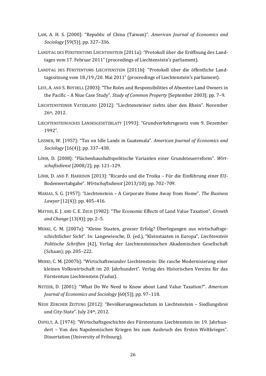- LAM, A. H. S. [2000]: "Republic of China (Taiwan)". *American Journal of Economics and Sociology* [59(5)]; pp. 327–336.
- LANDTAG DES FÜRSTENTUMS LIECHTENSTEIN [2011a]: "Protokoll über die Eröffnung des Landtages vom 17. Februar 2011" (proceedings of Liechtenstein's parliament).
- LANDTAG DES FÜRSTENTUMS LIECHTENSTEIN [2011b]: "Protokoll über die öffentliche Landtagssitzung vom 18./19./20. Mai 2011" (proceedings of Liechtenstein's parliament).
- LEVI, A. AND S. BOYDELL [2003]: "The Roles and Responsibilities of Absentee Land Owners in the Pacific – A Niue Case Study". *Study of Common Property* [September 2003]; pp. 7–9.
- LIECHTENSTEINER VATERLAND [2012]: "Liechtensteiner ziehts über den Rhein". November 26th, 2012.
- LIECHTENSTEINISCHES LANDESGESETZBLATT [1993]: "Grundverkehrsgesetz vom 9. Dezember 1992".
- LISSNER, W. [1957]: "Tax on Idle Lands in Guatemala". *American Journal of Economics and Sociology* [16(4)]; pp. 337–438.
- LÖHR, D. [2008]: "Flächenhaushaltspolitische Varianten einer Grundsteuerreform". *Wirtschaftsdienst* [2008/2]; pp. 121–129.
- LÖHR, D. AND F. HARRISON [2013]: "Ricardo und die Troika Für die Einführung einer EU-Bodenwertabgabe". *Wirtschaftsdienst* [2013/10]; pp. 702–709.
- MARIAS, S. G. [1957]: "Liechtenstein A Corporate Home Away from Home". *The Business Lawyer* [12(4)]: pp. 405–416.
- MATHIS, E. J. AND C. E. ZECH [1982]: "The Economic Effects of Land Value Taxation". *Growth and Change* [13(4)]; pp. 2–5.
- MERKI, C. M. [2007a]: "Kleine Staaten, grosser Erfolg? Überlegungen aus wirtschaftsgeschichtlicher Sicht". In: Langewiesche, D. (ed.), "Kleinstaaten in Europa", *Liechtenstein Politische Schriften* [42], Verlag der Liechtensteinischen Akademischen Gesellschaft (Schaan); pp. 205–222.
- MERKI, C. M. [2007b]: "Wirtschaftswunder Liechtenstein: Die rasche Modernisierung einer kleinen Volkswirtschaft im 20. Jahrhundert". Verlag des Historischen Vereins für das Fürstentum Liechtenstein (Vaduz).
- NETZER, D. [2001]: "What Do We Need to Know about Land Value Taxation?". *American Journal of Economics and Sociology* [60(5)]; pp. 97–118.
- NEUE ZÜRCHER ZEITUNG [2012]: "Bevölkerungswachstum in Liechtenstein Siedlungsbrei und City-State". July 24th, 2012.
- OSPELT, A. [1974]: "Wirtschaftsgeschichte des Fürstentums Liechtenstein im 19. Jahrhundert – Von den Napoleonischen Kriegen bis zum Ausbruch des Ersten Weltkrieges". Dissertation (University of Fribourg).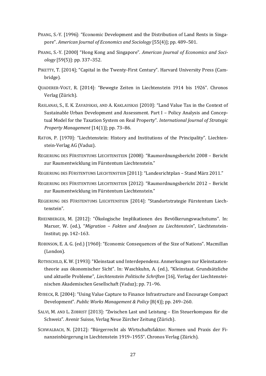- PHANG, S.-Y. [1996]: "Economic Development and the Distribution of Land Rents in Singapore". *American Journal of Economics and Sociology* [55(4)]; pp. 489–501.
- PHANG, S.-Y. [2000] "Hong Kong and Singapore". *American Journal of Economics and Sociology* [59(5)]: pp. 337–352.
- PIKETTY, T. [2014]; "Capital in the Twenty-First Century". Harvard University Press (Cambridge).
- QUADERER-VOGT, R. [2014]: "Bewegte Zeiten in Liechtenstein 1914 bis 1926". Chronos Verlag (Zürich).
- RASLANAS, S., E. K. ZAVADSKAS, AND A. KAKLAUSKAS [2010]: "Land Value Tax in the Context of Sustainable Urban Development and Assessment. Part I – Policy Analysis and Conceptual Model for the Taxation System on Real Property". *International Journal of Strategic Property Management* [14(1)]; pp. 73–86.
- RATON, P. [1970]: "Liechtenstein: History and Institutions of the Principality". Liechtenstein-Verlag AG (Vaduz).
- REGIERUNG DES FÜRSTENTUMS LIECHTENSTEIN [2008]: "Raumordnungsbericht 2008 Bericht zur Raumentwicklung im Fürstentum Liechtenstein."
- REGIERUNG DES FÜRSTENTUMS LIECHTENSTEIN [2011]: "Landesrichtplan Stand März 2011."
- REGIERUNG DES FÜRSTENTUMS LIECHTENSTEIN [2012]: "Raumordnungsbericht 2012 Bericht zur Raumentwicklung im Fürstentum Liechtenstein."
- REGIERUNG DES FÜRSTENTUMS LIECHTENSTEIN [2014]: "Standortstrategie Fürstentum Liechtenstein".
- RHEINBERGER, M. [2012]: "Ökologische Implikationen des Bevölkerungswachstums". In: Marxer, W. (ed.), "*Migration – Fakten und Analysen zu Liechtenstein*", Liechtenstein-Institut; pp. 142–163.
- ROBINSON, E. A. G. (ed.) [1960]: "Economic Consequences of the Size of Nations". Macmillan (London).
- ROTHSCHILD, K. W. [1993]:"Kleinstaat und Interdependenz. Anmerkungen zur Kleinstaatentheorie aus ökonomischer Sicht". In: Waschkuhn, A. (ed.), "Kleinstaat. Grundsätzliche und aktuelle Probleme", *Liechtenstein Politische Schriften* [16], Verlag der Liechtensteinischen Akademischen Gesellschaft (Vaduz); pp. 71–96.
- RYBECK, R. [2004]: "Using Value Capture to Finance Infrastructure and Encourage Compact Development". *Public Works Management & Policy* [8(4)]; pp. 249–260.
- SALVI, M. AND L. ZOBRIST [2013]: "Zwischen Last und Leistung Ein Steuerkompass für die Schweiz". Avenir Suisse, Verlag Neue Zürcher Zeitung (Zürich).
- SCHWALBACH, N. [2012]: "Bürgerrecht als Wirtschaftsfaktor. Normen und Praxis der Finanzeinbürgerung in Liechtenstein 1919–1955". Chronos Verlag (Zürich).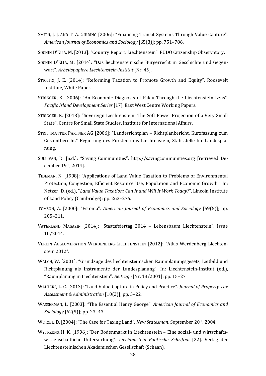- SMITH, J. J. AND T. A. GIHRING [2006]: "Financing Transit Systems Through Value Capture". *American Journal of Economics and Sociology* [65(3)]; pp. 751–786.
- SOCHIN D'ELIA, M. [2013]: "Country Report: Liechtenstein". EUDO Citizenship Observatory.
- SOCHIN D'ELIA, M. [2014]: "Das liechtensteinische Bürgerrecht in Geschichte und Gegenwart". *Arbeitspapiere Liechtenstein-Institut* [Nr. 45].
- STIGLITZ, J. E. [2014]: "Reforming Taxation to Promote Growth and Equity". Roosevelt Institute, White Paper.
- STRINGER, K. [2006]: "An Economic Diagnosis of Palau Through the Liechtenstein Lens". *Pacific Island Development Series* [17], East West Centre Working Papers.
- STRINGER, K. [2013]: "Sovereign Liechtenstein: The Soft Power Projection of a Very Small State". Centre for Small State Studies, Institute for International Affairs.
- STRITTMATTER PARTNER AG [2006]: "Landesrichtplan Richtplanbericht. Kurzfassung zum Gesamtbericht." Regierung des Fürstentums Liechtenstein, Stabsstelle für Landesplanung.
- SULLIVAN, D. [n.d.]: "Saving Communities". http://savingcommunities.org [retrieved December 19th, 2014].
- TIDEMAN, N. [1998]: "Applications of Land Value Taxation to Problems of Environmental Protection, Congestion, Efficient Resource Use, Population and Economic Growth." In: Netzer, D. (ed.), "*Land Value Taxation: Can It and Will It Work Today?*", Lincoln Institute of Land Policy (Cambridge); pp. 263–276.
- TOMSON, A. [2000]: "Estonia". *American Journal of Economics and Sociology* [59(5)]; pp. 205–211.
- VATERLAND MAGAZIN [2014]: "Staatsfeiertag 2014 Lebensbaum Liechtenstein". Issue 10/2014.
- VEREIN AGGLOMERATION WERDENBERG-LIECHTENSTEIN [2012]: "Atlas Werdenberg Liechtenstein 2012".
- WALCH, W. [2001]: "Grundzüge des liechtensteinischen Raumplanungsgesetz, Leitbild und Richtplanung als Instrumente der Landesplanung". In: Liechtenstein-Institut (ed.), "Raumplanung in Liechtenstein", *Beiträge* [Nr. 13/2001]; pp. 15–27.
- WALTERS, L. C. [2013]: "Land Value Capture in Policy and Practice". *Journal of Property Tax Assessment & Administration* [10(2)]; pp. 5–22.
- WASSERMAN, L. [2003]: "The Essential Henry George". *American Journal of Economics and Sociology* [62(5)]; pp. 23–43.
- WETZEL, D. [2004]: "The Case for Taxing Land". *New Statesman*, September 20th, 2004.
- WYTRZENS, H. K. [1996]: "Der Bodenmarkt in Liechtenstein Eine sozial- und wirtschaftswissenschaftliche Untersuchung". *Liechtenstein Politische Schriften* [22]. Verlag der Liechtensteinischen Akademischen Gesellschaft (Schaan).